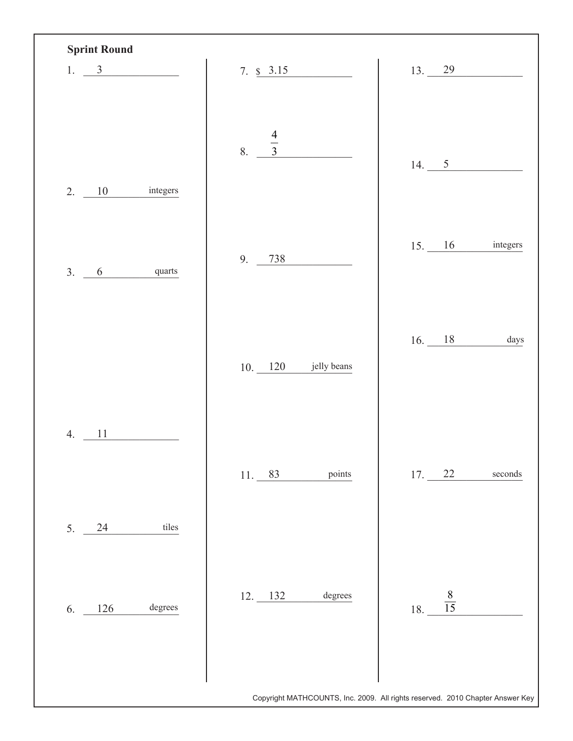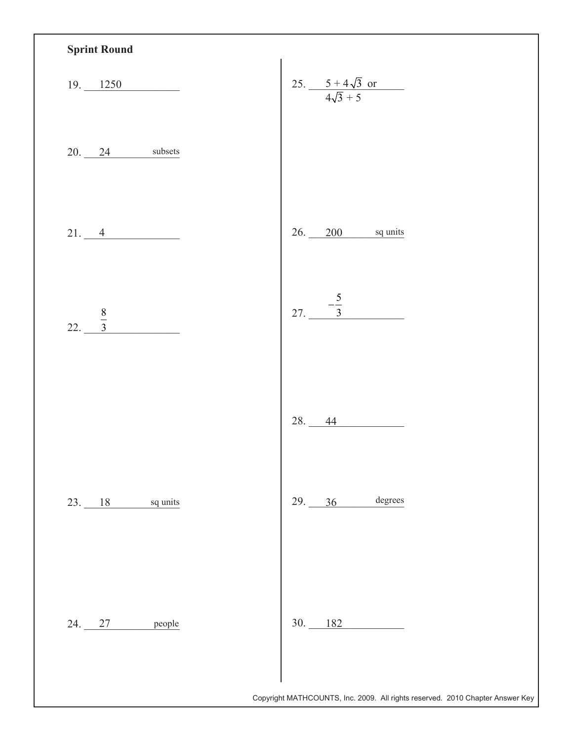| $19. \underline{\hspace{1cm}1250}$<br>$20.24$ subsets | 25. $rac{5+4\sqrt{3} \text{ or}}{4\sqrt{3}+5}$ |
|-------------------------------------------------------|------------------------------------------------|
|                                                       |                                                |
|                                                       |                                                |
| 21.4                                                  | $26.$ 200 sq units                             |
| $\frac{8}{3}$<br>22.                                  | 27. $\frac{-\frac{5}{3}}{2}$                   |
|                                                       | 28. 44                                         |
| $23.$ 18 sq units                                     | $29.$ 36 degrees                               |
| 24. 27 people                                         | $30.$ 182                                      |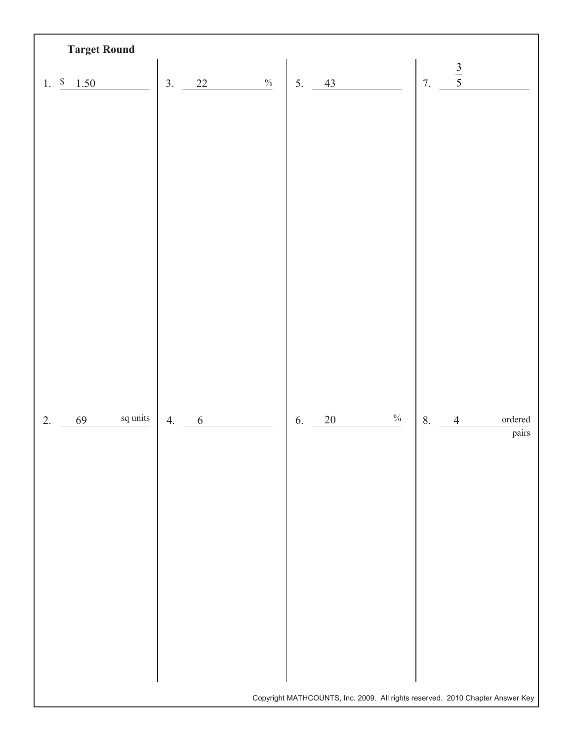| <b>Target Round</b>                       |                               |                                                                               |                                           |
|-------------------------------------------|-------------------------------|-------------------------------------------------------------------------------|-------------------------------------------|
| \$ 1.50<br>1.                             | $\frac{0}{0}$<br>3.<br>$22\,$ | 43<br>5.                                                                      | $\frac{3}{5}$<br>$-7.$                    |
|                                           |                               |                                                                               |                                           |
|                                           |                               |                                                                               |                                           |
|                                           |                               |                                                                               |                                           |
|                                           |                               |                                                                               |                                           |
|                                           |                               |                                                                               |                                           |
|                                           |                               |                                                                               |                                           |
|                                           |                               |                                                                               |                                           |
|                                           |                               |                                                                               |                                           |
|                                           |                               |                                                                               |                                           |
|                                           |                               |                                                                               |                                           |
| $\operatorname{\sf sq}$ units<br>69<br>2. | 4.<br>$\sqrt{6}$              | $\%$<br>20<br>6.                                                              | 8.<br>$\,$ ordered $\,$<br>$\overline{4}$ |
|                                           |                               |                                                                               | pairs                                     |
|                                           |                               |                                                                               |                                           |
|                                           |                               |                                                                               |                                           |
|                                           |                               |                                                                               |                                           |
|                                           |                               |                                                                               |                                           |
|                                           |                               |                                                                               |                                           |
|                                           |                               |                                                                               |                                           |
|                                           |                               |                                                                               |                                           |
|                                           |                               | Copyright MATHCOUNTS, Inc. 2009. All rights reserved. 2010 Chapter Answer Key |                                           |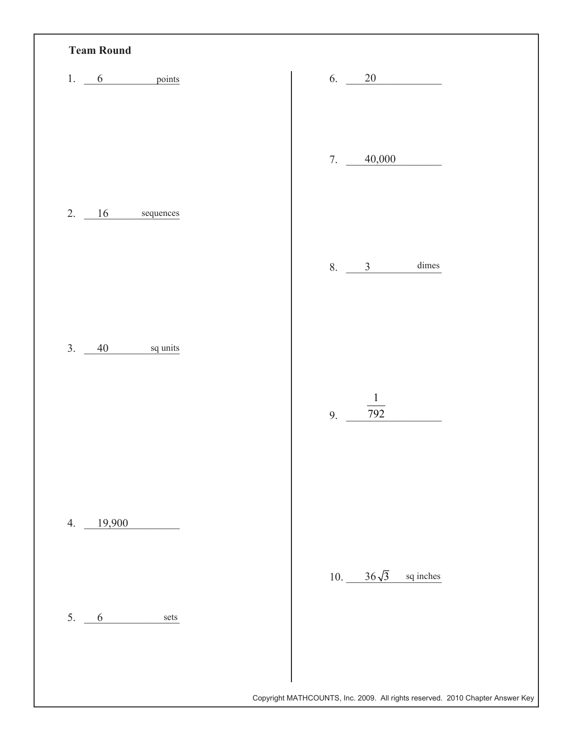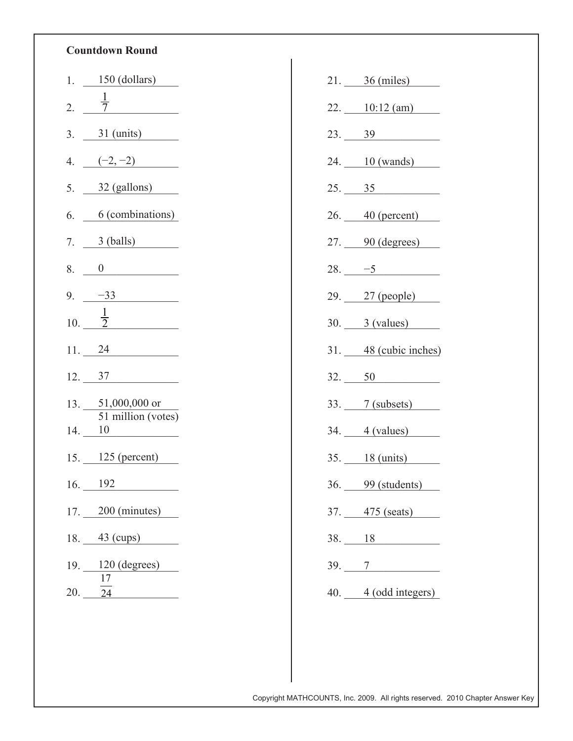## **Countdown Round**

| 1.      | $150$ (dollars)                 |
|---------|---------------------------------|
| 2.      |                                 |
| 3.      | $31 \text{ (units)}$            |
| 4.      | $(-2,-2)$                       |
| 5.      | $32$ (gallons)                  |
| 6.      | 6 (combinations)                |
| 7.      | 3 (balls)                       |
| 8.      | $\overline{0}$                  |
| 9.      | $-33$                           |
|         | 10. $\frac{1}{2}$               |
|         | 11. 24                          |
|         | $12. \quad 37$                  |
|         | $13. 51,000,000$ or             |
| 14. 10  | $\overline{51}$ million (votes) |
|         | $15.$ 125 (percent)             |
| 16. 192 |                                 |
|         | $17.$ 200 (minutes)             |
|         |                                 |
|         | $18. 43 \text{ (cups)}$         |
|         | $19. \_ 120 (degrees)$<br>17    |

| $21.$ $36 \text{ (miles)}$                        |
|---------------------------------------------------|
| $22.$ 10:12 (am)                                  |
| $23. \underline{39}$                              |
| 24. 10 (wands)                                    |
| 25. 35                                            |
| $26.$ 40 (percent)                                |
| $27.$ 90 (degrees)                                |
| $28.$ -5                                          |
| 29. 27 (people)                                   |
| $30.$ $3 (values)$                                |
| 31. 48 (cubic inches)                             |
| 32. 50                                            |
|                                                   |
| 33. 7 (subsets)                                   |
| $34.$ 4 (values)                                  |
| $35. \underline{\hspace{1cm} 18 \text{ (units)}}$ |
| 36. 99 (students)                                 |
| 37. 475 (seats)                                   |
| 38. 18                                            |
| 39.7                                              |
| 40. 4 (odd integers)                              |

Copyright MATHCOUNTS, Inc. 2009. All rights reserved. 2010 Chapter Answer Key